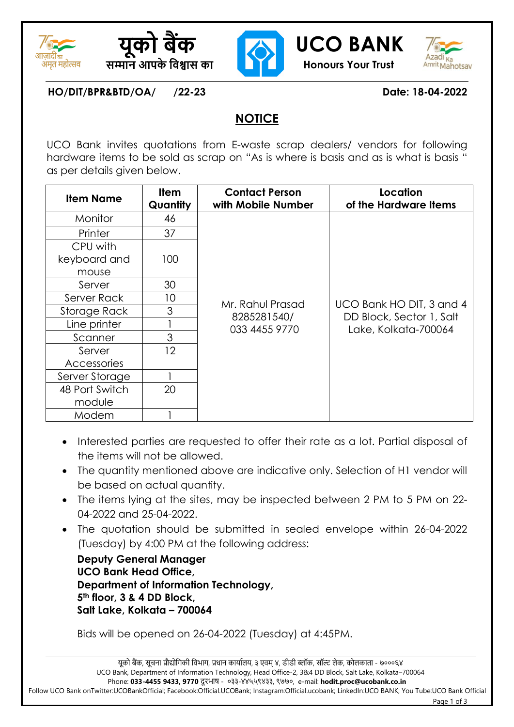





# **यूको बैंक UCO BANK**



**HO/DIT/BPR&BTD/OA/ /22-23 Date: 18-04-2022**

## **NOTICE**

UCO Bank invites quotations from E-waste scrap dealers/ vendors for following hardware items to be sold as scrap on "As is where is basis and as is what is basis " as per details given below.

| <b>Item Name</b> | <b>Item</b><br>Quantity | <b>Contact Person</b><br>with Mobile Number | Location<br>of the Hardware Items                                            |  |
|------------------|-------------------------|---------------------------------------------|------------------------------------------------------------------------------|--|
| Monitor          | 46                      |                                             |                                                                              |  |
| Printer          | 37                      |                                             |                                                                              |  |
| CPU with         |                         |                                             |                                                                              |  |
| keyboard and     | 100                     |                                             |                                                                              |  |
| mouse            |                         |                                             |                                                                              |  |
| Server           | 30                      |                                             | UCO Bank HO DIT, 3 and 4<br>DD Block, Sector 1, Salt<br>Lake, Kolkata-700064 |  |
| Server Rack      | 10                      | Mr. Rahul Prasad                            |                                                                              |  |
| Storage Rack     | 3                       | 8285281540/                                 |                                                                              |  |
| Line printer     |                         | 033 4455 9770                               |                                                                              |  |
| Scanner          | 3                       |                                             |                                                                              |  |
| Server           | 12                      |                                             |                                                                              |  |
| Accessories      |                         |                                             |                                                                              |  |
| Server Storage   |                         |                                             |                                                                              |  |
| 48 Port Switch   | 20                      |                                             |                                                                              |  |
| module           |                         |                                             |                                                                              |  |
| Modem            |                         |                                             |                                                                              |  |

- Interested parties are requested to offer their rate as a lot. Partial disposal of the items will not be allowed.
- The quantity mentioned above are indicative only. Selection of H1 vendor will be based on actual quantity.
- The items lying at the sites, may be inspected between 2 PM to 5 PM on 22-04-2022 and 25-04-2022.
- The quotation should be submitted in sealed envelope within 26-04-2022 (Tuesday) by 4:00 PM at the following address:

**Deputy General Manager UCO Bank Head Office, Department of Information Technology, 5th floor, 3 & 4 DD Block, Salt Lake, Kolkata – 700064**

Bids will be opened on 26-04-2022 (Tuesday) at 4:45PM.

Page 1 of 3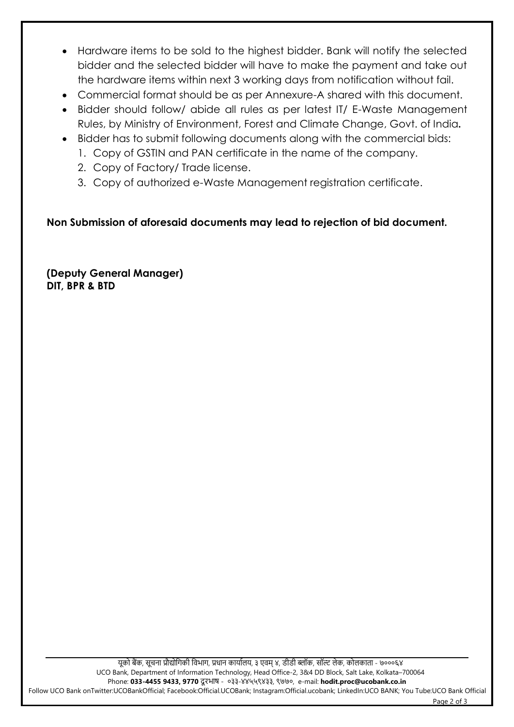- Hardware items to be sold to the highest bidder. Bank will notify the selected bidder and the selected bidder will have to make the payment and take out the hardware items within next 3 working days from notification without fail.
- Commercial format should be as per Annexure-A shared with this document.
- Bidder should follow/ abide all rules as per latest IT/ E-Waste Management Rules, by Ministry of Environment, Forest and Climate Change, Govt. of India**.**
- Bidder has to submit following documents along with the commercial bids:
	- 1. Copy of GSTIN and PAN certificate in the name of the company.
	- 2. Copy of Factory/ Trade license.
	- 3. Copy of authorized e-Waste Management registration certificate.

**Non Submission of aforesaid documents may lead to rejection of bid document.**

**(Deputy General Manager) DIT, BPR & BTD**